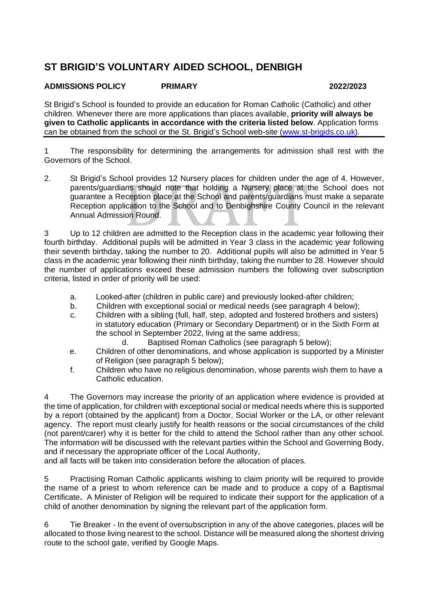## **ST BRIGID'S VOLUNTARY AIDED SCHOOL, DENBIGH**

## **ADMISSIONS POLICY PRIMARY 2022/2023**

St Brigid's School is founded to provide an education for Roman Catholic (Catholic) and other children. Whenever there are more applications than places available, **priority will always be given to Catholic applicants in accordance with the criteria listed below**. Application forms can be obtained from the school or the St. Brigid's School web-site [\(www.st-brigids.co.uk\)](http://www.st-brigids.co.uk/).

1 The responsibility for determining the arrangements for admission shall rest with the Governors of the School.

2. St Brigid's School provides 12 Nursery places for children under the age of 4. However, parents/guardians should note that holding a Nursery place at the School does not guarantee a Reception place at the School and parents/guardians must make a separate Reception application to the School and to Denbighshire County Council in the relevant Annual Admission Round.

3 Up to 12 children are admitted to the Reception class in the academic year following their fourth birthday. Additional pupils will be admitted in Year 3 class in the academic year following their seventh birthday, taking the number to 20. Additional pupils will also be admitted in Year 5 class in the academic year following their ninth birthday, taking the number to 28. However should the number of applications exceed these admission numbers the following over subscription criteria, listed in order of priority will be used:

- a. Looked-after (children in public care) and previously looked-after children;
- b. Children with exceptional social or medical needs (see paragraph 4 below);
- c. Children with a sibling (full, half, step, adopted and fostered brothers and sisters) in statutory education (Primary or Secondary Department) or in the Sixth Form at the school in September 2022, living at the same address;
	- d. Baptised Roman Catholics (see paragraph 5 below);
- e. Children of other denominations, and whose application is supported by a Minister of Religion (see paragraph 5 below);
- f. Children who have no religious denomination, whose parents wish them to have a Catholic education.

4 The Governors may increase the priority of an application where evidence is provided at the time of application, for children with exceptional social or medical needs where this is supported by a report (obtained by the applicant) from a Doctor, Social Worker or the LA, or other relevant agency. The report must clearly justify for health reasons or the social circumstances of the child (not parent/carer) why it is better for the child to attend the School rather than any other school. The information will be discussed with the relevant parties within the School and Governing Body, and if necessary the appropriate officer of the Local Authority,

and all facts will be taken into consideration before the allocation of places.

5 Practising Roman Catholic applicants wishing to claim priority will be required to provide the name of a priest to whom reference can be made and to produce a copy of a Baptismal Certificate**.** A Minister of Religion will be required to indicate their support for the application of a child of another denomination by signing the relevant part of the application form.

6 Tie Breaker - In the event of oversubscription in any of the above categories, places will be allocated to those living nearest to the school. Distance will be measured along the shortest driving route to the school gate, verified by Google Maps.